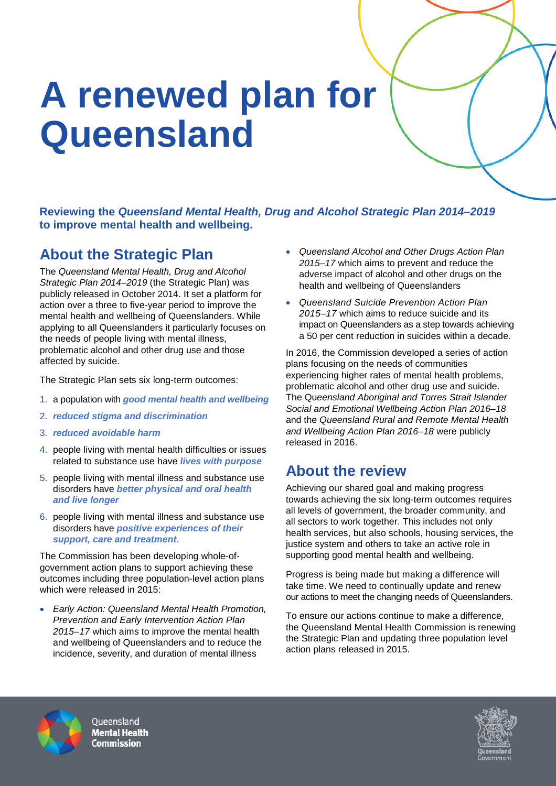# **A renewed plan for Queensland**

**Reviewing the** *Queensland Mental Health, Drug and Alcohol Strategic Plan 2014–2019* **to improve mental health and wellbeing.**

# **About the Strategic Plan**

The *Queensland Mental Health, Drug and Alcohol Strategic Plan 2014–2019* (the Strategic Plan) was publicly released in October 2014. It set a platform for action over a three to five-year period to improve the mental health and wellbeing of Queenslanders. While applying to all Queenslanders it particularly focuses on the needs of people living with mental illness, problematic alcohol and other drug use and those affected by suicide.

The Strategic Plan sets six long-term outcomes:

- 1. a population with *good mental health and wellbeing*
- 2. *reduced stigma and discrimination*
- 3. *reduced avoidable harm*
- 4. people living with mental health difficulties or issues related to substance use have *lives with purpose*
- 5. people living with mental illness and substance use disorders have *better physical and oral health and live longer*
- 6. people living with mental illness and substance use disorders have *positive experiences of their support, care and treatment.*

The Commission has been developing whole-ofgovernment action plans to support achieving these outcomes including three population-level action plans which were released in 2015:

• *Early Action: Queensland Mental Health Promotion, Prevention and Early Intervention Action Plan 2015–17* which aims to improve the mental health and wellbeing of Queenslanders and to reduce the incidence, severity, and duration of mental illness

- *Queensland Alcohol and Other Drugs Action Plan 2015–17* which aims to prevent and reduce the adverse impact of alcohol and other drugs on the health and wellbeing of Queenslanders
- *Queensland Suicide Prevention Action Plan 2015–17* which aims to reduce suicide and its impact on Queenslanders as a step towards achieving a 50 per cent reduction in suicides within a decade.

In 2016, the Commission developed a series of action plans focusing on the needs of communities experiencing higher rates of mental health problems, problematic alcohol and other drug use and suicide. The Qu*eensland Aboriginal and Torres Strait Islander Social and Emotional Wellbeing Action Plan 2016–18*  and the *Queensland Rural and Remote Mental Health and Wellbeing Action Plan 2016–18* were publicly released in 2016.

# **About the review**

Achieving our shared goal and making progress towards achieving the six long-term outcomes requires all levels of government, the broader community, and all sectors to work together. This includes not only health services, but also schools, housing services, the justice system and others to take an active role in supporting good mental health and wellbeing.

Progress is being made but making a difference will take time. We need to continually update and renew our actions to meet the changing needs of Queenslanders.

To ensure our actions continue to make a difference, the Queensland Mental Health Commission is renewing the Strategic Plan and updating three population level action plans released in 2015.



Oueensland **Mental Health Commission**